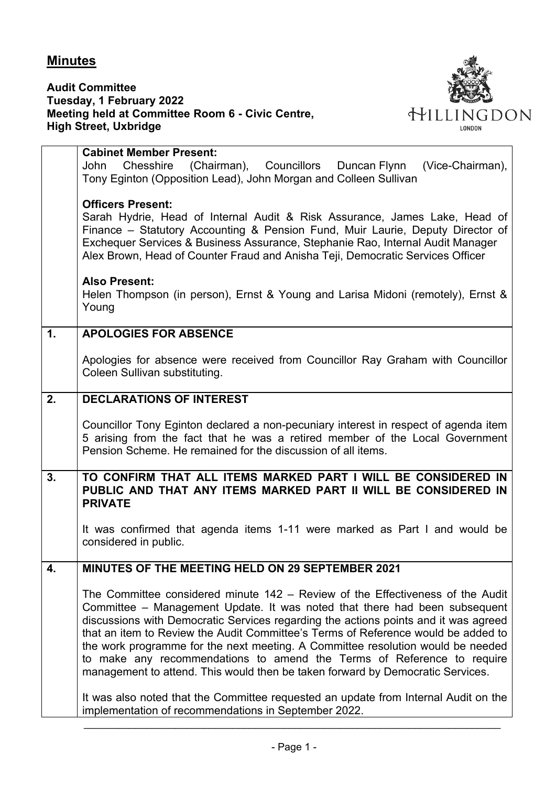## **Minutes**

**Audit Committee Tuesday, 1 February 2022 Meeting held at Committee Room 6 - Civic Centre, High Street, Uxbridge**



|                | <b>Cabinet Member Present:</b><br>Chesshire (Chairman), Councillors Duncan Flynn<br>(Vice-Chairman),<br>John<br>Tony Eginton (Opposition Lead), John Morgan and Colleen Sullivan                                                                                                                                                                                                                                                                                                                                                                                                        |
|----------------|-----------------------------------------------------------------------------------------------------------------------------------------------------------------------------------------------------------------------------------------------------------------------------------------------------------------------------------------------------------------------------------------------------------------------------------------------------------------------------------------------------------------------------------------------------------------------------------------|
|                | <b>Officers Present:</b><br>Sarah Hydrie, Head of Internal Audit & Risk Assurance, James Lake, Head of<br>Finance – Statutory Accounting & Pension Fund, Muir Laurie, Deputy Director of<br>Exchequer Services & Business Assurance, Stephanie Rao, Internal Audit Manager<br>Alex Brown, Head of Counter Fraud and Anisha Teji, Democratic Services Officer                                                                                                                                                                                                                            |
|                | <b>Also Present:</b><br>Helen Thompson (in person), Ernst & Young and Larisa Midoni (remotely), Ernst &<br>Young                                                                                                                                                                                                                                                                                                                                                                                                                                                                        |
| $\mathbf{1}$ . | <b>APOLOGIES FOR ABSENCE</b>                                                                                                                                                                                                                                                                                                                                                                                                                                                                                                                                                            |
|                | Apologies for absence were received from Councillor Ray Graham with Councillor<br>Coleen Sullivan substituting.                                                                                                                                                                                                                                                                                                                                                                                                                                                                         |
| 2.             | <b>DECLARATIONS OF INTEREST</b>                                                                                                                                                                                                                                                                                                                                                                                                                                                                                                                                                         |
|                | Councillor Tony Eginton declared a non-pecuniary interest in respect of agenda item<br>5 arising from the fact that he was a retired member of the Local Government<br>Pension Scheme. He remained for the discussion of all items.                                                                                                                                                                                                                                                                                                                                                     |
| 3.             | TO CONFIRM THAT ALL ITEMS MARKED PART I WILL BE CONSIDERED IN<br>PUBLIC AND THAT ANY ITEMS MARKED PART II WILL BE CONSIDERED IN<br><b>PRIVATE</b>                                                                                                                                                                                                                                                                                                                                                                                                                                       |
|                | It was confirmed that agenda items 1-11 were marked as Part I and would be<br>considered in public.                                                                                                                                                                                                                                                                                                                                                                                                                                                                                     |
| 4.             | MINUTES OF THE MEETING HELD ON 29 SEPTEMBER 2021                                                                                                                                                                                                                                                                                                                                                                                                                                                                                                                                        |
|                | The Committee considered minute 142 - Review of the Effectiveness of the Audit<br>Committee – Management Update. It was noted that there had been subsequent<br>discussions with Democratic Services regarding the actions points and it was agreed<br>that an item to Review the Audit Committee's Terms of Reference would be added to<br>the work programme for the next meeting. A Committee resolution would be needed<br>to make any recommendations to amend the Terms of Reference to require<br>management to attend. This would then be taken forward by Democratic Services. |
|                | It was also noted that the Committee requested an update from Internal Audit on the<br>implementation of recommendations in September 2022.                                                                                                                                                                                                                                                                                                                                                                                                                                             |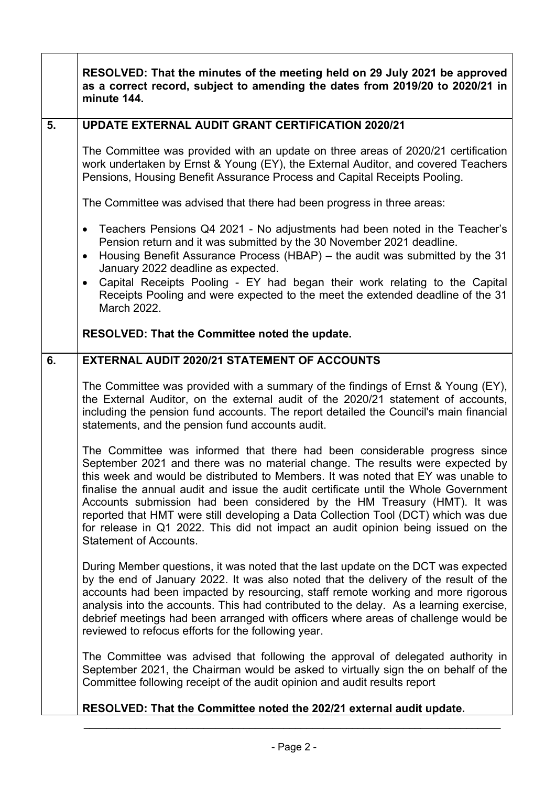|    | RESOLVED: That the minutes of the meeting held on 29 July 2021 be approved<br>as a correct record, subject to amending the dates from 2019/20 to 2020/21 in<br>minute 144.                                                                                                                                                                                                                                                                                                                                                                                                                                                      |
|----|---------------------------------------------------------------------------------------------------------------------------------------------------------------------------------------------------------------------------------------------------------------------------------------------------------------------------------------------------------------------------------------------------------------------------------------------------------------------------------------------------------------------------------------------------------------------------------------------------------------------------------|
| 5. | <b>UPDATE EXTERNAL AUDIT GRANT CERTIFICATION 2020/21</b>                                                                                                                                                                                                                                                                                                                                                                                                                                                                                                                                                                        |
|    | The Committee was provided with an update on three areas of 2020/21 certification<br>work undertaken by Ernst & Young (EY), the External Auditor, and covered Teachers<br>Pensions, Housing Benefit Assurance Process and Capital Receipts Pooling.                                                                                                                                                                                                                                                                                                                                                                             |
|    | The Committee was advised that there had been progress in three areas:                                                                                                                                                                                                                                                                                                                                                                                                                                                                                                                                                          |
|    | Teachers Pensions Q4 2021 - No adjustments had been noted in the Teacher's<br>$\bullet$<br>Pension return and it was submitted by the 30 November 2021 deadline.<br>Housing Benefit Assurance Process (HBAP) – the audit was submitted by the 31<br>$\bullet$<br>January 2022 deadline as expected.<br>Capital Receipts Pooling - EY had began their work relating to the Capital<br>$\bullet$<br>Receipts Pooling and were expected to the meet the extended deadline of the 31<br>March 2022.                                                                                                                                 |
|    | RESOLVED: That the Committee noted the update.                                                                                                                                                                                                                                                                                                                                                                                                                                                                                                                                                                                  |
| 6. | <b>EXTERNAL AUDIT 2020/21 STATEMENT OF ACCOUNTS</b>                                                                                                                                                                                                                                                                                                                                                                                                                                                                                                                                                                             |
|    | The Committee was provided with a summary of the findings of Ernst & Young (EY),<br>the External Auditor, on the external audit of the 2020/21 statement of accounts,<br>including the pension fund accounts. The report detailed the Council's main financial<br>statements, and the pension fund accounts audit.                                                                                                                                                                                                                                                                                                              |
|    | The Committee was informed that there had been considerable progress since<br>September 2021 and there was no material change. The results were expected by<br>this week and would be distributed to Members. It was noted that EY was unable to<br>finalise the annual audit and issue the audit certificate until the Whole Government<br>Accounts submission had been considered by the HM Treasury (HMT). It was<br>reported that HMT were still developing a Data Collection Tool (DCT) which was due<br>for release in Q1 2022. This did not impact an audit opinion being issued on the<br><b>Statement of Accounts.</b> |
|    | During Member questions, it was noted that the last update on the DCT was expected<br>by the end of January 2022. It was also noted that the delivery of the result of the<br>accounts had been impacted by resourcing, staff remote working and more rigorous<br>analysis into the accounts. This had contributed to the delay. As a learning exercise,<br>debrief meetings had been arranged with officers where areas of challenge would be<br>reviewed to refocus efforts for the following year.                                                                                                                           |
|    | The Committee was advised that following the approval of delegated authority in<br>September 2021, the Chairman would be asked to virtually sign the on behalf of the<br>Committee following receipt of the audit opinion and audit results report                                                                                                                                                                                                                                                                                                                                                                              |
|    | RESOLVED: That the Committee noted the 202/21 external audit update.                                                                                                                                                                                                                                                                                                                                                                                                                                                                                                                                                            |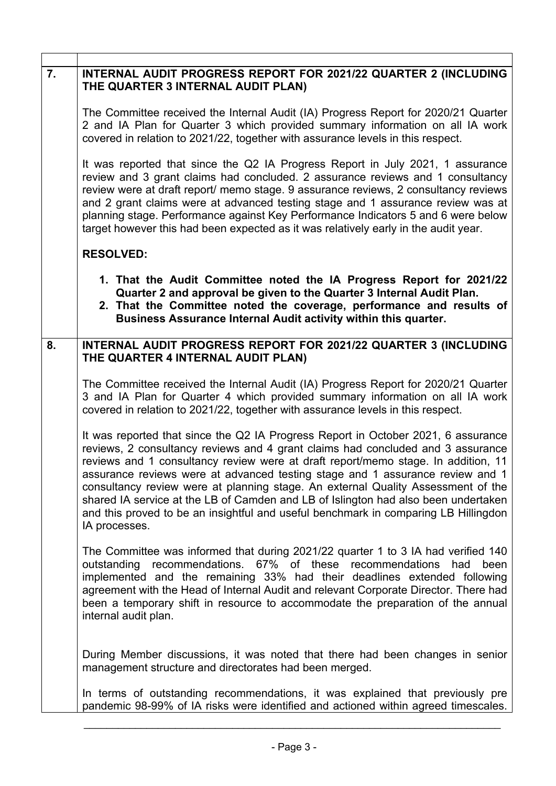| 7. | INTERNAL AUDIT PROGRESS REPORT FOR 2021/22 QUARTER 2 (INCLUDING<br>THE QUARTER 3 INTERNAL AUDIT PLAN)                                                                                                                                                                                                                                                                                                                                                                                                                                                                                                                        |
|----|------------------------------------------------------------------------------------------------------------------------------------------------------------------------------------------------------------------------------------------------------------------------------------------------------------------------------------------------------------------------------------------------------------------------------------------------------------------------------------------------------------------------------------------------------------------------------------------------------------------------------|
|    | The Committee received the Internal Audit (IA) Progress Report for 2020/21 Quarter<br>2 and IA Plan for Quarter 3 which provided summary information on all IA work<br>covered in relation to 2021/22, together with assurance levels in this respect.                                                                                                                                                                                                                                                                                                                                                                       |
|    | It was reported that since the Q2 IA Progress Report in July 2021, 1 assurance<br>review and 3 grant claims had concluded. 2 assurance reviews and 1 consultancy<br>review were at draft report/ memo stage. 9 assurance reviews, 2 consultancy reviews<br>and 2 grant claims were at advanced testing stage and 1 assurance review was at<br>planning stage. Performance against Key Performance Indicators 5 and 6 were below<br>target however this had been expected as it was relatively early in the audit year.                                                                                                       |
|    | <b>RESOLVED:</b>                                                                                                                                                                                                                                                                                                                                                                                                                                                                                                                                                                                                             |
|    | 1. That the Audit Committee noted the IA Progress Report for 2021/22<br>Quarter 2 and approval be given to the Quarter 3 Internal Audit Plan.<br>2. That the Committee noted the coverage, performance and results of<br>Business Assurance Internal Audit activity within this quarter.                                                                                                                                                                                                                                                                                                                                     |
| 8. | INTERNAL AUDIT PROGRESS REPORT FOR 2021/22 QUARTER 3 (INCLUDING<br>THE QUARTER 4 INTERNAL AUDIT PLAN)                                                                                                                                                                                                                                                                                                                                                                                                                                                                                                                        |
|    | The Committee received the Internal Audit (IA) Progress Report for 2020/21 Quarter<br>3 and IA Plan for Quarter 4 which provided summary information on all IA work<br>covered in relation to 2021/22, together with assurance levels in this respect.                                                                                                                                                                                                                                                                                                                                                                       |
|    | It was reported that since the Q2 IA Progress Report in October 2021, 6 assurance<br>reviews, 2 consultancy reviews and 4 grant claims had concluded and 3 assurance<br>reviews and 1 consultancy review were at draft report/memo stage. In addition, 11<br>assurance reviews were at advanced testing stage and 1 assurance review and 1<br>consultancy review were at planning stage. An external Quality Assessment of the<br>shared IA service at the LB of Camden and LB of Islington had also been undertaken<br>and this proved to be an insightful and useful benchmark in comparing LB Hillingdon<br>IA processes. |
|    | The Committee was informed that during 2021/22 quarter 1 to 3 IA had verified 140<br>outstanding recommendations. 67% of these recommendations<br>had<br>been<br>implemented and the remaining 33% had their deadlines extended following<br>agreement with the Head of Internal Audit and relevant Corporate Director. There had<br>been a temporary shift in resource to accommodate the preparation of the annual<br>internal audit plan.                                                                                                                                                                                 |
|    | During Member discussions, it was noted that there had been changes in senior<br>management structure and directorates had been merged.                                                                                                                                                                                                                                                                                                                                                                                                                                                                                      |
|    | In terms of outstanding recommendations, it was explained that previously pre<br>pandemic 98-99% of IA risks were identified and actioned within agreed timescales.                                                                                                                                                                                                                                                                                                                                                                                                                                                          |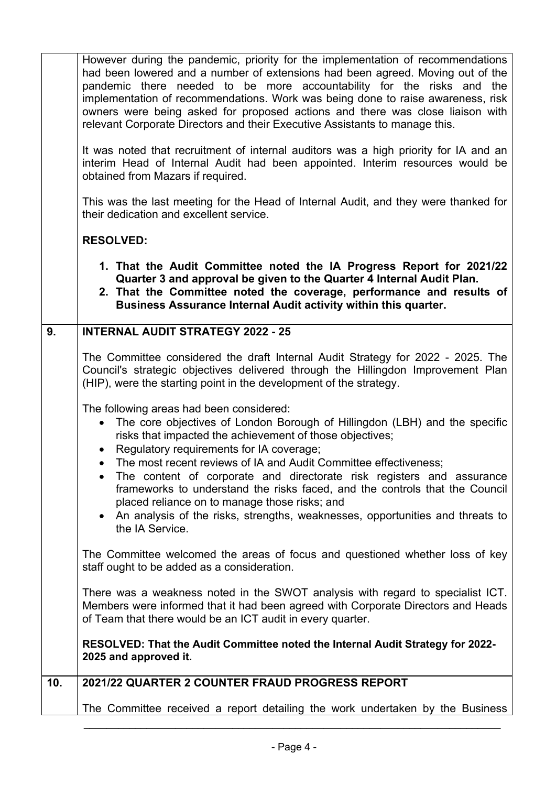|    | • An analysis of the risks, strengths, weaknesses, opportunities and threats to<br>the IA Service.<br>The Committee welcomed the areas of focus and questioned whether loss of key<br>staff ought to be added as a consideration.                                                                                                                                                                                                                                                                                          |
|----|----------------------------------------------------------------------------------------------------------------------------------------------------------------------------------------------------------------------------------------------------------------------------------------------------------------------------------------------------------------------------------------------------------------------------------------------------------------------------------------------------------------------------|
|    | The following areas had been considered:<br>The core objectives of London Borough of Hillingdon (LBH) and the specific<br>risks that impacted the achievement of those objectives;<br>Regulatory requirements for IA coverage;<br>$\bullet$<br>The most recent reviews of IA and Audit Committee effectiveness;<br>• The content of corporate and directorate risk registers and assurance<br>frameworks to understand the risks faced, and the controls that the Council<br>placed reliance on to manage those risks; and |
|    | The Committee considered the draft Internal Audit Strategy for 2022 - 2025. The<br>Council's strategic objectives delivered through the Hillingdon Improvement Plan<br>(HIP), were the starting point in the development of the strategy.                                                                                                                                                                                                                                                                                  |
| 9. | 1. That the Audit Committee noted the IA Progress Report for 2021/22<br>Quarter 3 and approval be given to the Quarter 4 Internal Audit Plan.<br>2. That the Committee noted the coverage, performance and results of<br>Business Assurance Internal Audit activity within this quarter.<br><b>INTERNAL AUDIT STRATEGY 2022 - 25</b>                                                                                                                                                                                       |
|    | <b>RESOLVED:</b>                                                                                                                                                                                                                                                                                                                                                                                                                                                                                                           |
|    | This was the last meeting for the Head of Internal Audit, and they were thanked for<br>their dedication and excellent service.                                                                                                                                                                                                                                                                                                                                                                                             |
|    | It was noted that recruitment of internal auditors was a high priority for IA and an<br>interim Head of Internal Audit had been appointed. Interim resources would be<br>obtained from Mazars if required.                                                                                                                                                                                                                                                                                                                 |
|    | However during the pandemic, priority for the implementation of recommendations<br>had been lowered and a number of extensions had been agreed. Moving out of the<br>pandemic there needed to be more accountability for the risks and the<br>implementation of recommendations. Work was being done to raise awareness, risk<br>owners were being asked for proposed actions and there was close liaison with<br>relevant Corporate Directors and their Executive Assistants to manage this.                              |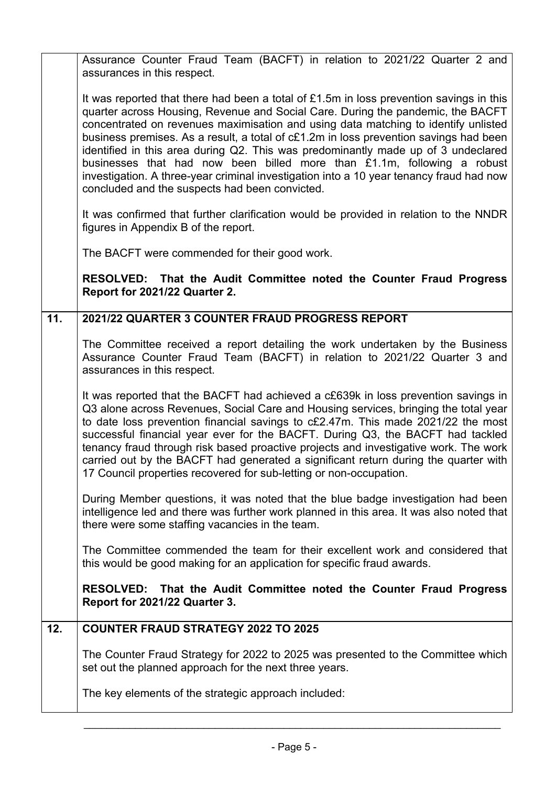|     | Assurance Counter Fraud Team (BACFT) in relation to 2021/22 Quarter 2 and<br>assurances in this respect.                                                                                                                                                                                                                                                                                                                                                                                                                                                                                                                                                               |
|-----|------------------------------------------------------------------------------------------------------------------------------------------------------------------------------------------------------------------------------------------------------------------------------------------------------------------------------------------------------------------------------------------------------------------------------------------------------------------------------------------------------------------------------------------------------------------------------------------------------------------------------------------------------------------------|
|     | It was reported that there had been a total of £1.5m in loss prevention savings in this<br>quarter across Housing, Revenue and Social Care. During the pandemic, the BACFT<br>concentrated on revenues maximisation and using data matching to identify unlisted<br>business premises. As a result, a total of c£1.2m in loss prevention savings had been<br>identified in this area during Q2. This was predominantly made up of 3 undeclared<br>businesses that had now been billed more than £1.1m, following a robust<br>investigation. A three-year criminal investigation into a 10 year tenancy fraud had now<br>concluded and the suspects had been convicted. |
|     | It was confirmed that further clarification would be provided in relation to the NNDR<br>figures in Appendix B of the report.                                                                                                                                                                                                                                                                                                                                                                                                                                                                                                                                          |
|     | The BACFT were commended for their good work.                                                                                                                                                                                                                                                                                                                                                                                                                                                                                                                                                                                                                          |
|     | RESOLVED: That the Audit Committee noted the Counter Fraud Progress<br>Report for 2021/22 Quarter 2.                                                                                                                                                                                                                                                                                                                                                                                                                                                                                                                                                                   |
| 11. | 2021/22 QUARTER 3 COUNTER FRAUD PROGRESS REPORT                                                                                                                                                                                                                                                                                                                                                                                                                                                                                                                                                                                                                        |
|     | The Committee received a report detailing the work undertaken by the Business<br>Assurance Counter Fraud Team (BACFT) in relation to 2021/22 Quarter 3 and<br>assurances in this respect.                                                                                                                                                                                                                                                                                                                                                                                                                                                                              |
|     | It was reported that the BACFT had achieved a c£639k in loss prevention savings in<br>Q3 alone across Revenues, Social Care and Housing services, bringing the total year<br>to date loss prevention financial savings to c£2.47m. This made 2021/22 the most<br>successful financial year ever for the BACFT. During Q3, the BACFT had tackled<br>tenancy fraud through risk based proactive projects and investigative work. The work<br>carried out by the BACFT had generated a significant return during the quarter with<br>17 Council properties recovered for sub-letting or non-occupation.                                                                   |
|     | During Member questions, it was noted that the blue badge investigation had been<br>intelligence led and there was further work planned in this area. It was also noted that<br>there were some staffing vacancies in the team.                                                                                                                                                                                                                                                                                                                                                                                                                                        |
|     | The Committee commended the team for their excellent work and considered that<br>this would be good making for an application for specific fraud awards.                                                                                                                                                                                                                                                                                                                                                                                                                                                                                                               |
|     | RESOLVED: That the Audit Committee noted the Counter Fraud Progress<br>Report for 2021/22 Quarter 3.                                                                                                                                                                                                                                                                                                                                                                                                                                                                                                                                                                   |
| 12. | <b>COUNTER FRAUD STRATEGY 2022 TO 2025</b>                                                                                                                                                                                                                                                                                                                                                                                                                                                                                                                                                                                                                             |
|     | The Counter Fraud Strategy for 2022 to 2025 was presented to the Committee which<br>set out the planned approach for the next three years.                                                                                                                                                                                                                                                                                                                                                                                                                                                                                                                             |
|     | The key elements of the strategic approach included:                                                                                                                                                                                                                                                                                                                                                                                                                                                                                                                                                                                                                   |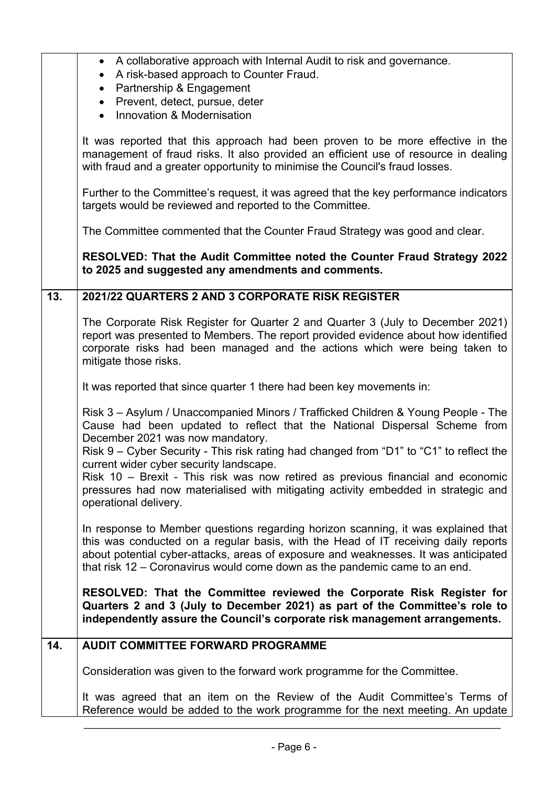|     | • A collaborative approach with Internal Audit to risk and governance.<br>A risk-based approach to Counter Fraud.<br>Partnership & Engagement<br>$\bullet$<br>Prevent, detect, pursue, deter<br>$\bullet$<br>Innovation & Modernisation<br>$\bullet$                                                                                         |
|-----|----------------------------------------------------------------------------------------------------------------------------------------------------------------------------------------------------------------------------------------------------------------------------------------------------------------------------------------------|
|     | It was reported that this approach had been proven to be more effective in the<br>management of fraud risks. It also provided an efficient use of resource in dealing<br>with fraud and a greater opportunity to minimise the Council's fraud losses.                                                                                        |
|     | Further to the Committee's request, it was agreed that the key performance indicators<br>targets would be reviewed and reported to the Committee.                                                                                                                                                                                            |
|     | The Committee commented that the Counter Fraud Strategy was good and clear.                                                                                                                                                                                                                                                                  |
|     | RESOLVED: That the Audit Committee noted the Counter Fraud Strategy 2022<br>to 2025 and suggested any amendments and comments.                                                                                                                                                                                                               |
| 13. | 2021/22 QUARTERS 2 AND 3 CORPORATE RISK REGISTER                                                                                                                                                                                                                                                                                             |
|     | The Corporate Risk Register for Quarter 2 and Quarter 3 (July to December 2021)<br>report was presented to Members. The report provided evidence about how identified<br>corporate risks had been managed and the actions which were being taken to<br>mitigate those risks.                                                                 |
|     | It was reported that since quarter 1 there had been key movements in:                                                                                                                                                                                                                                                                        |
|     | Risk 3 - Asylum / Unaccompanied Minors / Trafficked Children & Young People - The<br>Cause had been updated to reflect that the National Dispersal Scheme from<br>December 2021 was now mandatory.<br>Risk 9 – Cyber Security - This risk rating had changed from "D1" to "C1" to reflect the<br>current wider cyber security landscape.     |
|     | Risk 10 - Brexit - This risk was now retired as previous financial and economic<br>pressures had now materialised with mitigating activity embedded in strategic and<br>operational delivery.                                                                                                                                                |
|     | In response to Member questions regarding horizon scanning, it was explained that<br>this was conducted on a regular basis, with the Head of IT receiving daily reports<br>about potential cyber-attacks, areas of exposure and weaknesses. It was anticipated<br>that risk 12 - Coronavirus would come down as the pandemic came to an end. |
|     | RESOLVED: That the Committee reviewed the Corporate Risk Register for<br>Quarters 2 and 3 (July to December 2021) as part of the Committee's role to<br>independently assure the Council's corporate risk management arrangements.                                                                                                           |
| 14. | <b>AUDIT COMMITTEE FORWARD PROGRAMME</b>                                                                                                                                                                                                                                                                                                     |
|     | Consideration was given to the forward work programme for the Committee.                                                                                                                                                                                                                                                                     |
|     | It was agreed that an item on the Review of the Audit Committee's Terms of<br>Reference would be added to the work programme for the next meeting. An update                                                                                                                                                                                 |